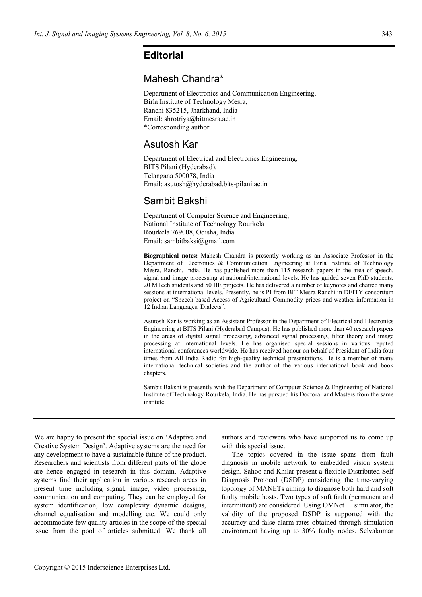## **Editorial**

## Mahesh Chandra\*

Department of Electronics and Communication Engineering, Birla Institute of Technology Mesra, Ranchi 835215, Jharkhand, India Email: shrotriya@bitmesra.ac.in \*Corresponding author

## Asutosh Kar

Department of Electrical and Electronics Engineering, BITS Pilani (Hyderabad), Telangana 500078, India Email: asutosh@hyderabad.bits-pilani.ac.in

## Sambit Bakshi

Department of Computer Science and Engineering, National Institute of Technology Rourkela Rourkela 769008, Odisha, India Email: sambitbaksi@gmail.com

**Biographical notes:** Mahesh Chandra is presently working as an Associate Professor in the Department of Electronics & Communication Engineering at Birla Institute of Technology Mesra, Ranchi, India. He has published more than 115 research papers in the area of speech, signal and image processing at national/international levels. He has guided seven PhD students, 20 MTech students and 50 BE projects. He has delivered a number of keynotes and chaired many sessions at international levels. Presently, he is PI from BIT Mesra Ranchi in DEITY consortium project on "Speech based Access of Agricultural Commodity prices and weather information in 12 Indian Languages, Dialects".

Asutosh Kar is working as an Assistant Professor in the Department of Electrical and Electronics Engineering at BITS Pilani (Hyderabad Campus). He has published more than 40 research papers in the areas of digital signal processing, advanced signal processing, filter theory and image processing at international levels. He has organised special sessions in various reputed international conferences worldwide. He has received honour on behalf of President of India four times from All India Radio for high-quality technical presentations. He is a member of many international technical societies and the author of the various international book and book chapters.

Sambit Bakshi is presently with the Department of Computer Science & Engineering of National Institute of Technology Rourkela, India. He has pursued his Doctoral and Masters from the same institute.

We are happy to present the special issue on 'Adaptive and Creative System Design'. Adaptive systems are the need for any development to have a sustainable future of the product. Researchers and scientists from different parts of the globe are hence engaged in research in this domain. Adaptive systems find their application in various research areas in present time including signal, image, video processing, communication and computing. They can be employed for system identification, low complexity dynamic designs, channel equalisation and modelling etc. We could only accommodate few quality articles in the scope of the special issue from the pool of articles submitted. We thank all authors and reviewers who have supported us to come up with this special issue.

The topics covered in the issue spans from fault diagnosis in mobile network to embedded vision system design. Sahoo and Khilar present a flexible Distributed Self Diagnosis Protocol (DSDP) considering the time-varying topology of MANETs aiming to diagnose both hard and soft faulty mobile hosts. Two types of soft fault (permanent and intermittent) are considered. Using OMNet<sup>++</sup> simulator, the validity of the proposed DSDP is supported with the accuracy and false alarm rates obtained through simulation environment having up to 30% faulty nodes. Selvakumar